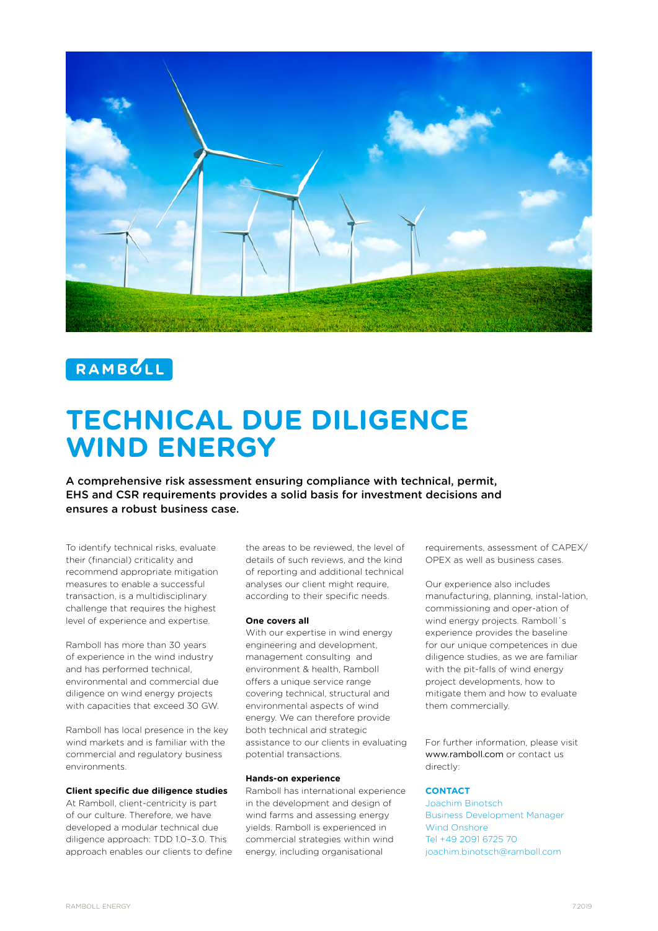



# **TECHNICAL DUE DILIGENCE WIND ENERGY**

A comprehensive risk assessment ensuring compliance with technical, permit, EHS and CSR requirements provides a solid basis for investment decisions and ensures a robust business case.

To identify technical risks, evaluate their (financial) criticality and recommend appropriate mitigation measures to enable a successful transaction, is a multidisciplinary challenge that requires the highest level of experience and expertise.

Ramboll has more than 30 years of experience in the wind industry and has performed technical, environmental and commercial due diligence on wind energy projects with capacities that exceed 30 GW.

Ramboll has local presence in the key wind markets and is familiar with the commercial and regulatory business environments.

## **Client specific due diligence studies**

At Ramboll, client-centricity is part of our culture. Therefore, we have developed a modular technical due diligence approach: TDD 1.0–3.0. This approach enables our clients to define the areas to be reviewed, the level of details of such reviews, and the kind of reporting and additional technical analyses our client might require, according to their specific needs.

#### **One covers all**

With our expertise in wind energy engineering and development, management consulting and environment & health, Ramboll offers a unique service range covering technical, structural and environmental aspects of wind energy. We can therefore provide both technical and strategic assistance to our clients in evaluating potential transactions.

## **Hands-on experience**

Ramboll has international experience in the development and design of wind farms and assessing energy yields. Ramboll is experienced in commercial strategies within wind energy, including organisational

requirements, assessment of CAPEX/ OPEX as well as business cases.

Our experience also includes manufacturing, planning, instal-lation, commissioning and oper-ation of wind energy projects. Ramboll´s experience provides the baseline for our unique competences in due diligence studies, as we are familiar with the pit-falls of wind energy project developments, how to mitigate them and how to evaluate them commercially.

For further information, please visit www.ramboll.com or contact us directly:

## **CONTACT**

Joachim Binotsch Business Development Manager Wind Onshore Tel +49 2091 6725 70 joachim.binotsch@ramboll.com